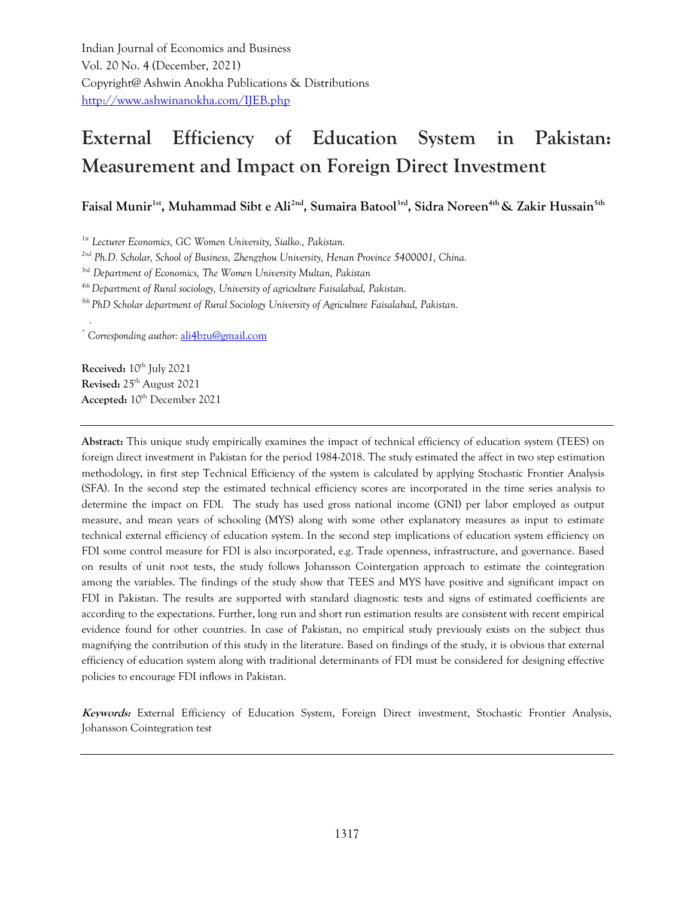Indian Journal of Economics and Business Vol. 20 No. 4 (December, 2021) Copyright@ Ashwin Anokha Publications & Distributions <http://www.ashwinanokha.com/IJEB.php>

# **External Efficiency of Education System in Pakistan: Measurement and Impact on Foreign Direct Investment**

**Faisal Munir1st, Muhammad Sibt e Ali2nd, Sumaira Batool3rd, Sidra Noreen4th & Zakir Hussain5th**

*1st Lecturer Economics, GC Women University, Sialko., Pakistan.*

*2nd Ph.D. Scholar, School of Business, Zhengzhou University, Henan Province 5400001, China.*

*3rd Department of Economics, The Women University Multan, Pakistan* 

*4th Department of Rural sociology, University of agriculture Faisalabad, Pakistan.*

*5th PhD Scholar department of Rural Sociology University of Agriculture Faisalabad, Pakistan.*

*\* Corresponding author:* [ali4bzu@gmail.com](mailto:ali4bzu@gmail.com)

**Received:** 10<sup>th</sup> July 2021 **Revised:** 25th August 2021 Accepted:  $10^{th}$  December 2021

*.*

**Abstract:** This unique study empirically examines the impact of technical efficiency of education system (TEES) on foreign direct investment in Pakistan for the period 1984-2018. The study estimated the affect in two step estimation methodology, in first step Technical Efficiency of the system is calculated by applying Stochastic Frontier Analysis (SFA). In the second step the estimated technical efficiency scores are incorporated in the time series analysis to determine the impact on FDI. The study has used gross national income (GNI) per labor employed as output measure, and mean years of schooling (MYS) along with some other explanatory measures as input to estimate technical external efficiency of education system. In the second step implications of education system efficiency on FDI some control measure for FDI is also incorporated, e.g. Trade openness, infrastructure, and governance. Based on results of unit root tests, the study follows Johansson Cointergation approach to estimate the cointegration among the variables. The findings of the study show that TEES and MYS have positive and significant impact on FDI in Pakistan. The results are supported with standard diagnostic tests and signs of estimated coefficients are according to the expectations. Further, long run and short run estimation results are consistent with recent empirical evidence found for other countries. In case of Pakistan, no empirical study previously exists on the subject thus magnifying the contribution of this study in the literature. Based on findings of the study, it is obvious that external efficiency of education system along with traditional determinants of FDI must be considered for designing effective policies to encourage FDI inflows in Pakistan.

**Keywords:** External Efficiency of Education System, Foreign Direct investment, Stochastic Frontier Analysis, Johansson Cointegration test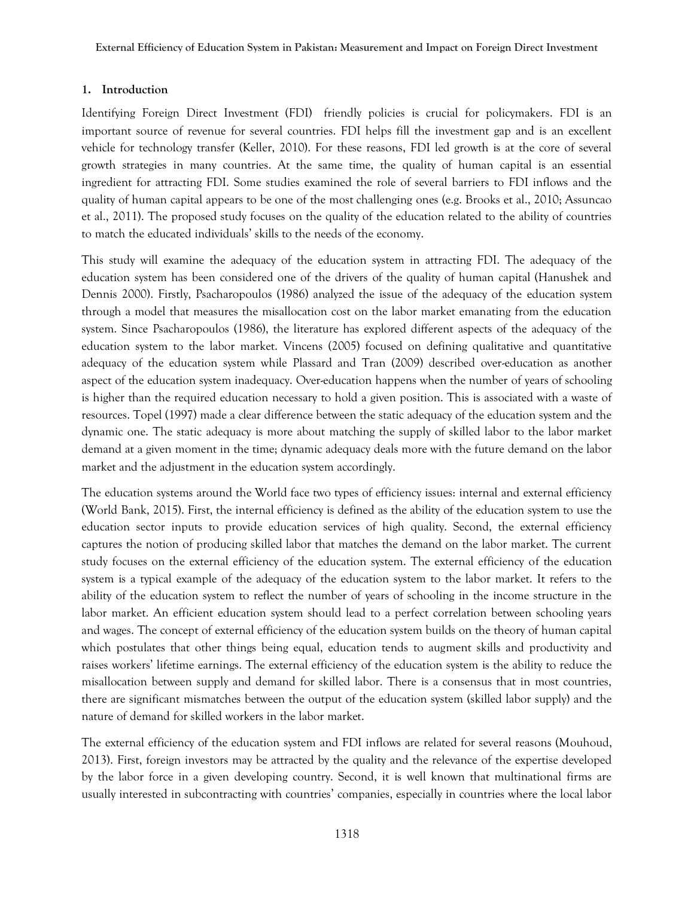## **1. Introduction**

Identifying Foreign Direct Investment (FDI) friendly policies is crucial for policymakers. FDI is an important source of revenue for several countries. FDI helps fill the investment gap and is an excellent vehicle for technology transfer (Keller, 2010). For these reasons, FDI led growth is at the core of several growth strategies in many countries. At the same time, the quality of human capital is an essential ingredient for attracting FDI. Some studies examined the role of several barriers to FDI inflows and the quality of human capital appears to be one of the most challenging ones (e.g. Brooks et al., 2010; Assuncao et al., 2011). The proposed study focuses on the quality of the education related to the ability of countries to match the educated individuals' skills to the needs of the economy.

This study will examine the adequacy of the education system in attracting FDI. The adequacy of the education system has been considered one of the drivers of the quality of human capital (Hanushek and Dennis 2000). Firstly, Psacharopoulos (1986) analyzed the issue of the adequacy of the education system through a model that measures the misallocation cost on the labor market emanating from the education system. Since Psacharopoulos (1986), the literature has explored different aspects of the adequacy of the education system to the labor market. Vincens (2005) focused on defining qualitative and quantitative adequacy of the education system while Plassard and Tran (2009) described over-education as another aspect of the education system inadequacy. Over-education happens when the number of years of schooling is higher than the required education necessary to hold a given position. This is associated with a waste of resources. Topel (1997) made a clear difference between the static adequacy of the education system and the dynamic one. The static adequacy is more about matching the supply of skilled labor to the labor market demand at a given moment in the time; dynamic adequacy deals more with the future demand on the labor market and the adjustment in the education system accordingly.

The education systems around the World face two types of efficiency issues: internal and external efficiency (World Bank, 2015). First, the internal efficiency is defined as the ability of the education system to use the education sector inputs to provide education services of high quality. Second, the external efficiency captures the notion of producing skilled labor that matches the demand on the labor market. The current study focuses on the external efficiency of the education system. The external efficiency of the education system is a typical example of the adequacy of the education system to the labor market. It refers to the ability of the education system to reflect the number of years of schooling in the income structure in the labor market. An efficient education system should lead to a perfect correlation between schooling years and wages. The concept of external efficiency of the education system builds on the theory of human capital which postulates that other things being equal, education tends to augment skills and productivity and raises workers' lifetime earnings. The external efficiency of the education system is the ability to reduce the misallocation between supply and demand for skilled labor. There is a consensus that in most countries, there are significant mismatches between the output of the education system (skilled labor supply) and the nature of demand for skilled workers in the labor market.

The external efficiency of the education system and FDI inflows are related for several reasons (Mouhoud, 2013). First, foreign investors may be attracted by the quality and the relevance of the expertise developed by the labor force in a given developing country. Second, it is well known that multinational firms are usually interested in subcontracting with countries' companies, especially in countries where the local labor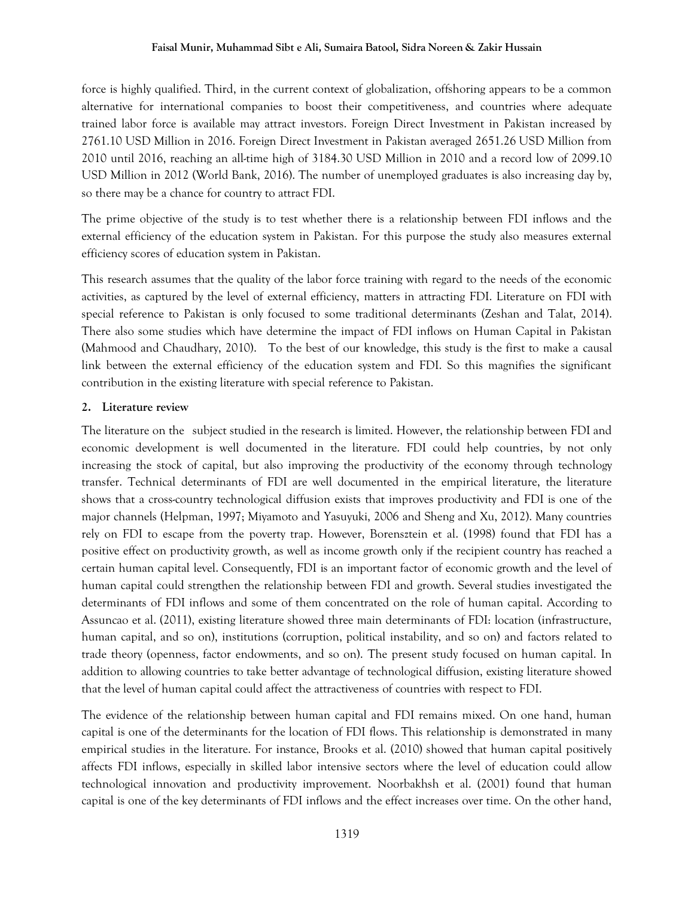#### **Faisal Munir, Muhammad Sibt e Ali, Sumaira Batool, Sidra Noreen & Zakir Hussain**

force is highly qualified. Third, in the current context of globalization, offshoring appears to be a common alternative for international companies to boost their competitiveness, and countries where adequate trained labor force is available may attract investors. Foreign Direct Investment in Pakistan increased by 2761.10 USD Million in 2016. Foreign Direct Investment in Pakistan averaged 2651.26 USD Million from 2010 until 2016, reaching an all-time high of 3184.30 USD Million in 2010 and a record low of 2099.10 USD Million in 2012 (World Bank, 2016). The number of unemployed graduates is also increasing day by, so there may be a chance for country to attract FDI.

The prime objective of the study is to test whether there is a relationship between FDI inflows and the external efficiency of the education system in Pakistan. For this purpose the study also measures external efficiency scores of education system in Pakistan.

This research assumes that the quality of the labor force training with regard to the needs of the economic activities, as captured by the level of external efficiency, matters in attracting FDI. Literature on FDI with special reference to Pakistan is only focused to some traditional determinants (Zeshan and Talat, 2014). There also some studies which have determine the impact of FDI inflows on Human Capital in Pakistan (Mahmood and Chaudhary, 2010). To the best of our knowledge, this study is the first to make a causal link between the external efficiency of the education system and FDI. So this magnifies the significant contribution in the existing literature with special reference to Pakistan.

## **2. Literature review**

The literature on the "subject studied in the research is limited. However, the relationship between FDI and economic development is well documented in the literature. FDI could help countries, by not only increasing the stock of capital, but also improving the productivity of the economy through technology transfer. Technical determinants of FDI are well documented in the empirical literature, the literature shows that a cross-country technological diffusion exists that improves productivity and FDI is one of the major channels (Helpman, 1997; Miyamoto and Yasuyuki, 2006 and Sheng and Xu, 2012). Many countries rely on FDI to escape from the poverty trap. However, Borensztein et al. (1998) found that FDI has a positive effect on productivity growth, as well as income growth only if the recipient country has reached a certain human capital level. Consequently, FDI is an important factor of economic growth and the level of human capital could strengthen the relationship between FDI and growth. Several studies investigated the determinants of FDI inflows and some of them concentrated on the role of human capital. According to Assuncao et al. (2011), existing literature showed three main determinants of FDI: location (infrastructure, human capital, and so on), institutions (corruption, political instability, and so on) and factors related to trade theory (openness, factor endowments, and so on). The present study focused on human capital. In addition to allowing countries to take better advantage of technological diffusion, existing literature showed that the level of human capital could affect the attractiveness of countries with respect to FDI.

The evidence of the relationship between human capital and FDI remains mixed. On one hand, human capital is one of the determinants for the location of FDI flows. This relationship is demonstrated in many empirical studies in the literature. For instance, Brooks et al. (2010) showed that human capital positively affects FDI inflows, especially in skilled labor intensive sectors where the level of education could allow technological innovation and productivity improvement. Noorbakhsh et al. (2001) found that human capital is one of the key determinants of FDI inflows and the effect increases over time. On the other hand,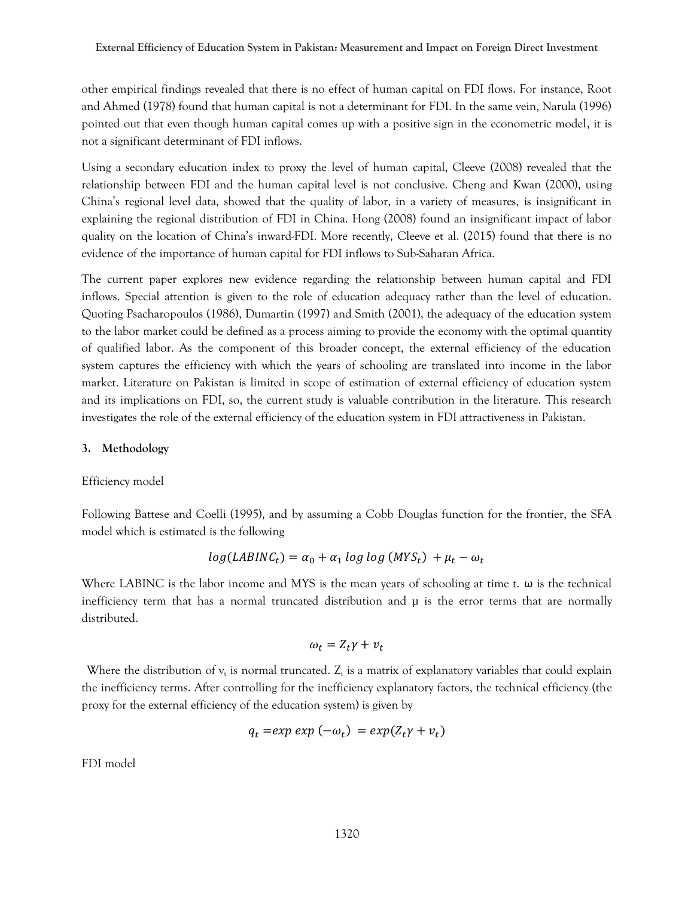other empirical findings revealed that there is no effect of human capital on FDI flows. For instance, Root and Ahmed (1978) found that human capital is not a determinant for FDI. In the same vein, Narula (1996) pointed out that even though human capital comes up with a positive sign in the econometric model, it is not a significant determinant of FDI inflows.

Using a secondary education index to proxy the level of human capital, Cleeve (2008) revealed that the relationship between FDI and the human capital level is not conclusive. Cheng and Kwan (2000), using China's regional level data, showed that the quality of labor, in a variety of measures, is insignificant in explaining the regional distribution of FDI in China. Hong (2008) found an insignificant impact of labor quality on the location of China's inward-FDI. More recently, Cleeve et al. (2015) found that there is no evidence of the importance of human capital for FDI inflows to Sub-Saharan Africa.

The current paper explores new evidence regarding the relationship between human capital and FDI inflows. Special attention is given to the role of education adequacy rather than the level of education. Quoting Psacharopoulos (1986), Dumartin (1997) and Smith (2001), the adequacy of the education system to the labor market could be defined as a process aiming to provide the economy with the optimal quantity of qualified labor. As the component of this broader concept, the external efficiency of the education system captures the efficiency with which the years of schooling are translated into income in the labor market. Literature on Pakistan is limited in scope of estimation of external efficiency of education system and its implications on FDI, so, the current study is valuable contribution in the literature. This research investigates the role of the external efficiency of the education system in FDI attractiveness in Pakistan."

## **3. Methodology**

Efficiency model

Following Battese and Coelli (1995), and by assuming a Cobb Douglas function for the frontier, the SFA model which is estimated is the following

$$
log(LABINC_t) = \alpha_0 + \alpha_1 log log (MYS_t) + \mu_t - \omega_t
$$

Where LABINC is the labor income and MYS is the mean years of schooling at time t.  $\omega$  is the technical inefficiency term that has a normal truncated distribution and  $\mu$  is the error terms that are normally distributed.

$$
\omega_t = Z_t \gamma + v_t
$$

Where the distribution of  $v_t$  is normal truncated.  $Z_t$  is a matrix of explanatory variables that could explain the inefficiency terms. After controlling for the inefficiency explanatory factors, the technical efficiency (the proxy for the external efficiency of the education system) is given by"

$$
q_t = exp \exp(-\omega_t) = exp(Z_t \gamma + v_t)
$$

FDI model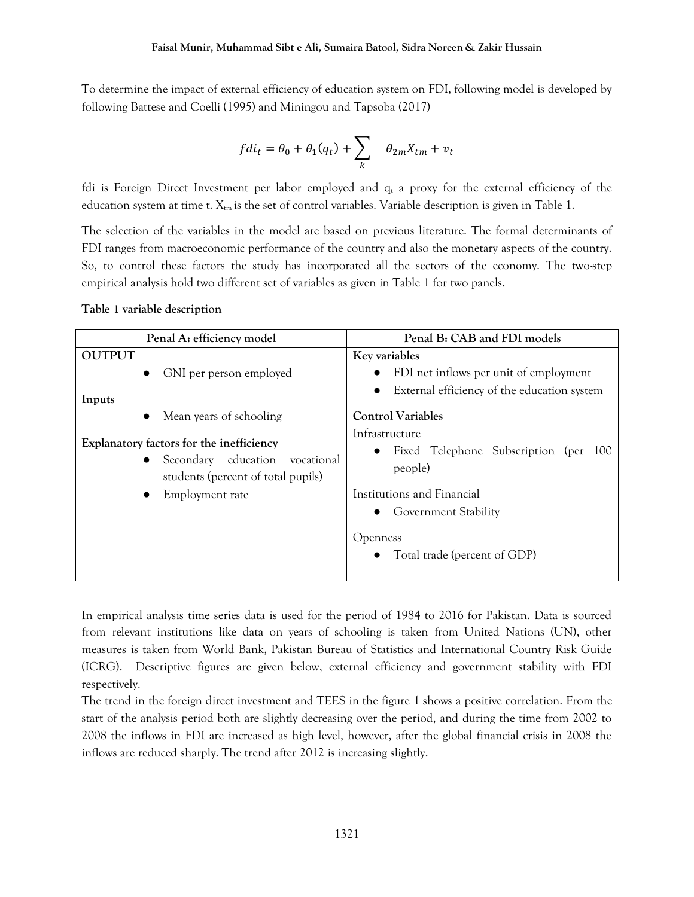To determine the impact of external efficiency of education system on FDI, following model is developed by following Battese and Coelli (1995) and Miningou and Tapsoba (2017)

$$
fdi_t=\theta_0+\theta_1(q_t)+\sum_k\quad \theta_{2m}X_{tm}+v_t\\
$$

fdi is Foreign Direct Investment per labor employed and  $q_t$  a proxy for the external efficiency of the education system at time t.  $X_{tm}$  is the set of control variables. Variable description is given in Table 1.

The selection of the variables in the model are based on previous literature. The formal determinants of FDI ranges from macroeconomic performance of the country and also the monetary aspects of the country. So, to control these factors the study has incorporated all the sectors of the economy. The two-step empirical analysis hold two different set of variables as given in Table 1 for two panels.

## **Table 1 variable description**

| Penal A: efficiency model                                                                                                                           | Penal B: CAB and FDI models                                                                                     |
|-----------------------------------------------------------------------------------------------------------------------------------------------------|-----------------------------------------------------------------------------------------------------------------|
| <b>OUTPUT</b>                                                                                                                                       | Key variables                                                                                                   |
| GNI per person employed<br>$\bullet$<br>Inputs                                                                                                      | FDI net inflows per unit of employment<br>$\bullet$<br>External efficiency of the education system<br>$\bullet$ |
| Mean years of schooling                                                                                                                             | <b>Control Variables</b>                                                                                        |
| Explanatory factors for the inefficiency<br>Secondary education<br>vocational<br>$\bullet$<br>students (percent of total pupils)<br>Employment rate | Infrastructure<br>• Fixed Telephone Subscription (per<br>-100<br>people)<br>Institutions and Financial          |
|                                                                                                                                                     | <b>Government Stability</b><br>$\bullet$                                                                        |
|                                                                                                                                                     | <b>Openness</b><br>Total trade (percent of GDP)                                                                 |

In empirical analysis time series data is used for the period of 1984 to 2016 for Pakistan. Data is sourced from relevant institutions like data on years of schooling is taken from United Nations (UN), other measures is taken from World Bank, Pakistan Bureau of Statistics and International Country Risk Guide (ICRG). Descriptive figures are given below, external efficiency and government stability with FDI respectively.

The trend in the foreign direct investment and TEES in the figure 1 shows a positive correlation. From the start of the analysis period both are slightly decreasing over the period, and during the time from 2002 to 2008 the inflows in FDI are increased as high level, however, after the global financial crisis in 2008 the inflows are reduced sharply. The trend after 2012 is increasing slightly.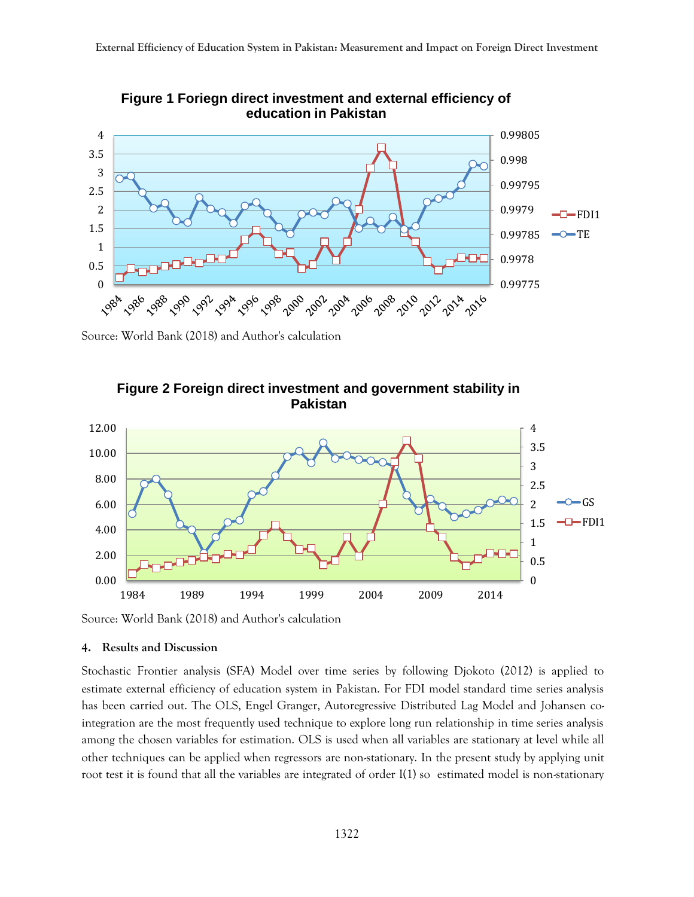

**Figure 1 Foriegn direct investment and external efficiency of education in Pakistan** 

Source: World Bank (2018) and Author's calculation



**Figure 2 Foreign direct investment and government stability in Pakistan** 

Source: World Bank (2018) and Author's calculation

#### **4. Results and Discussion**

Stochastic Frontier analysis (SFA) Model over time series by following Djokoto (2012) is applied to estimate external efficiency of education system in Pakistan. For FDI model standard time series analysis has been carried out. The OLS, Engel Granger, Autoregressive Distributed Lag Model and Johansen cointegration are the most frequently used technique to explore long run relationship in time series analysis among the chosen variables for estimation. OLS is used when all variables are stationary at level while all other techniques can be applied when regressors are non-stationary. In the present study by applying unit root test it is found that all the variables are integrated of order I(1) so estimated model is non-stationary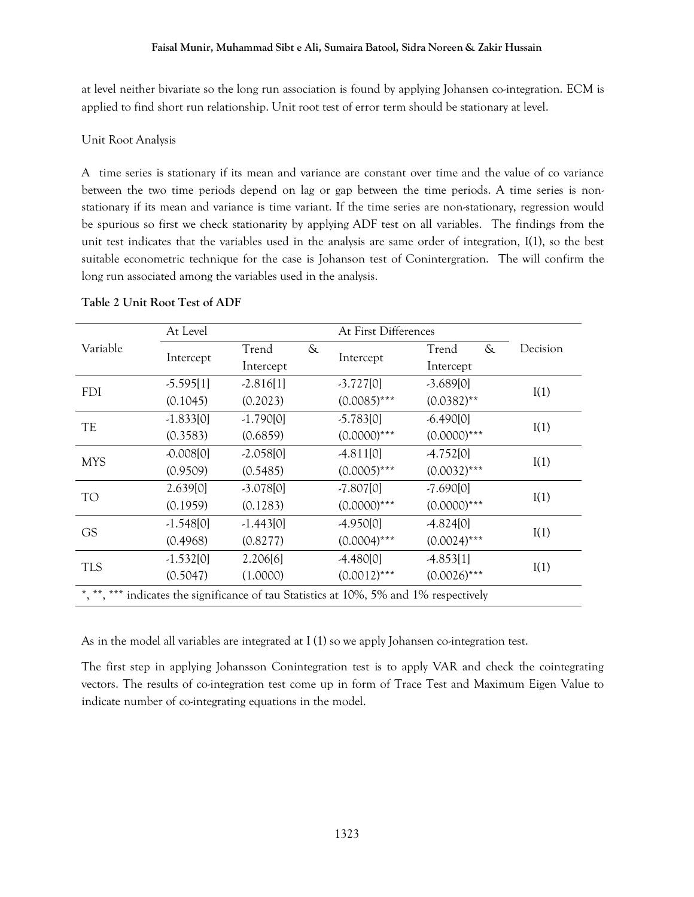at level neither bivariate so the long run association is found by applying Johansen co-integration. ECM is applied to find short run relationship. Unit root test of error term should be stationary at level.

## Unit Root Analysis

A time series is stationary if its mean and variance are constant over time and the value of co variance between the two time periods depend on lag or gap between the time periods. A time series is nonstationary if its mean and variance is time variant. If the time series are non-stationary, regression would be spurious so first we check stationarity by applying ADF test on all variables." The findings from the unit test indicates that the variables used in the analysis are same order of integration, I(1), so the best suitable econometric technique for the case is Johanson test of Conintergration. The will confirm the long run associated among the variables used in the analysis.

|                                                                                        | At Level    |             | At First Differences |                |                |          |
|----------------------------------------------------------------------------------------|-------------|-------------|----------------------|----------------|----------------|----------|
| Variable                                                                               |             | Trend       | $\&$                 |                | $\&$<br>Trend  | Decision |
|                                                                                        | Intercept   | Intercept   |                      | Intercept      | Intercept      |          |
| <b>FDI</b>                                                                             | $-5.595[1]$ | $-2.816[1]$ |                      | $-3.727[0]$    | $-3.689[0]$    | I(1)     |
|                                                                                        | (0.1045)    | (0.2023)    |                      | $(0.0085)$ *** | $(0.0382)$ **  |          |
|                                                                                        | $-1.833[0]$ | $-1.790[0]$ |                      | $-5.783[0]$    | $-6.490[0]$    | I(1)     |
| TE                                                                                     | (0.3583)    | (0.6859)    |                      | $(0.0000)$ *** | $(0.0000)$ *** |          |
| <b>MYS</b>                                                                             | $-0.008[0]$ | $-2.058[0]$ |                      | $-4.811[0]$    | $-4.752[0]$    | I(1)     |
|                                                                                        | (0.9509)    | (0.5485)    |                      | $(0.0005)$ *** | $(0.0032)$ *** |          |
| TO                                                                                     | 2.639[0]    | $-3.078[0]$ |                      | $-7.807[0]$    | $-7.690[0]$    | I(1)     |
|                                                                                        | (0.1959)    | (0.1283)    |                      | $(0.0000)$ *** | $(0.0000)$ *** |          |
| GS                                                                                     | $-1.548[0]$ | $-1.443[0]$ |                      | $-4.950[0]$    | $-4.824[0]$    | I(1)     |
|                                                                                        | (0.4968)    | (0.8277)    |                      | $(0.0004)$ *** | $(0.0024)$ *** |          |
| <b>TLS</b>                                                                             | $-1.532[0]$ | 2.206[6]    |                      | $-4.480[0]$    | $-4.853[1]$    | I(1)     |
|                                                                                        | (0.5047)    | (1.0000)    |                      | $(0.0012)$ *** | $(0.0026)$ *** |          |
| *, **, *** indicates the significance of tau Statistics at 10%, 5% and 1% respectively |             |             |                      |                |                |          |

## **Table 2 Unit Root Test of ADF**

As in the model all variables are integrated at I (1) so we apply Johansen co-integration test.

The first step in applying Johansson Conintegration test is to apply VAR and check the cointegrating vectors. The results of co-integration test come up in form of Trace Test and Maximum Eigen Value to indicate number of co-integrating equations in the model.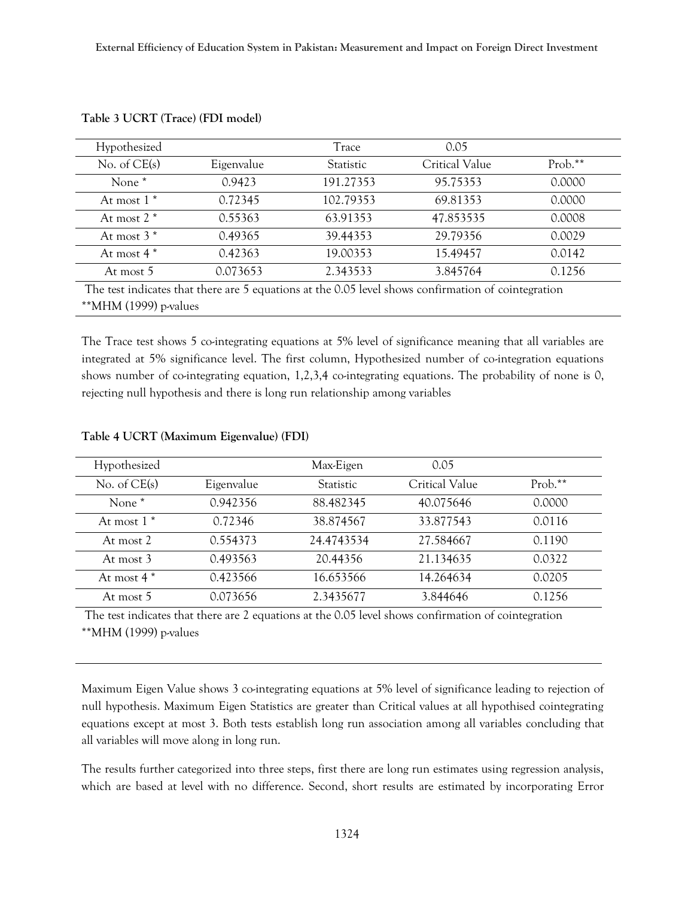| Hypothesized      |            | Trace            | 0.05           |         |
|-------------------|------------|------------------|----------------|---------|
| No. of $CE(s)$    | Eigenvalue | <b>Statistic</b> | Critical Value | Prob.** |
| None <sup>*</sup> | 0.9423     | 191.27353        | 95.75353       | 0.0000  |
| At most $1^*$     | 0.72345    | 102.79353        | 69.81353       | 0.0000  |
| At most $2^*$     | 0.55363    | 63.91353         | 47.853535      | 0.0008  |
| At most $3^*$     | 0.49365    | 39.44353         | 29.79356       | 0.0029  |
| At most $4*$      | 0.42363    | 19.00353         | 15.49457       | 0.0142  |
| At most 5         | 0.073653   | 2.343533         | 3.845764       | 0.1256  |

| Table 3 UCRT (Trace) (FDI model) |  |  |  |  |  |
|----------------------------------|--|--|--|--|--|
|----------------------------------|--|--|--|--|--|

`MHM (1999) p-values

The Trace test shows 5 co-integrating equations at 5% level of significance meaning that all variables are integrated at 5% significance level. The first column, Hypothesized number of co-integration equations shows number of co-integrating equation, 1,2,3,4 co-integrating equations. The probability of none is 0, rejecting null hypothesis and there is long run relationship among variables

| Hypothesized      |            | Max-Eigen        | 0.05           |           |
|-------------------|------------|------------------|----------------|-----------|
| No. of $CE(s)$    | Eigenvalue | <b>Statistic</b> | Critical Value | $Prob.**$ |
| None <sup>*</sup> | 0.942356   | 88.482345        | 40.075646      | 0.0000    |
| At most $1^*$     | 0.72346    | 38.874567        | 33.877543      | 0.0116    |
| At most 2         | 0.554373   | 24.4743534       | 27.584667      | 0.1190    |
| At most 3         | 0.493563   | 20.44356         | 21.134635      | 0.0322    |
| At most $4 *$     | 0.423566   | 16.653566        | 14.264634      | 0.0205    |
| At most 5         | 0.073656   | 2.3435677        | 3.844646       | 0.1256    |

#### **Table 4 UCRT (Maximum Eigenvalue) (FDI)**

The test indicates that there are 2 equations at the 0.05 level shows confirmation of cointegration

\*\*MHM (1999) p-values

Maximum Eigen Value shows 3 co-integrating equations at 5% level of significance leading to rejection of null hypothesis. Maximum Eigen Statistics are greater than Critical values at all hypothised cointegrating equations except at most 3. Both tests establish long run association among all variables concluding that all variables will move along in long run.

The results further categorized into three steps, first there are long run estimates using regression analysis, which are based at level with no difference. Second, short results are estimated by incorporating Error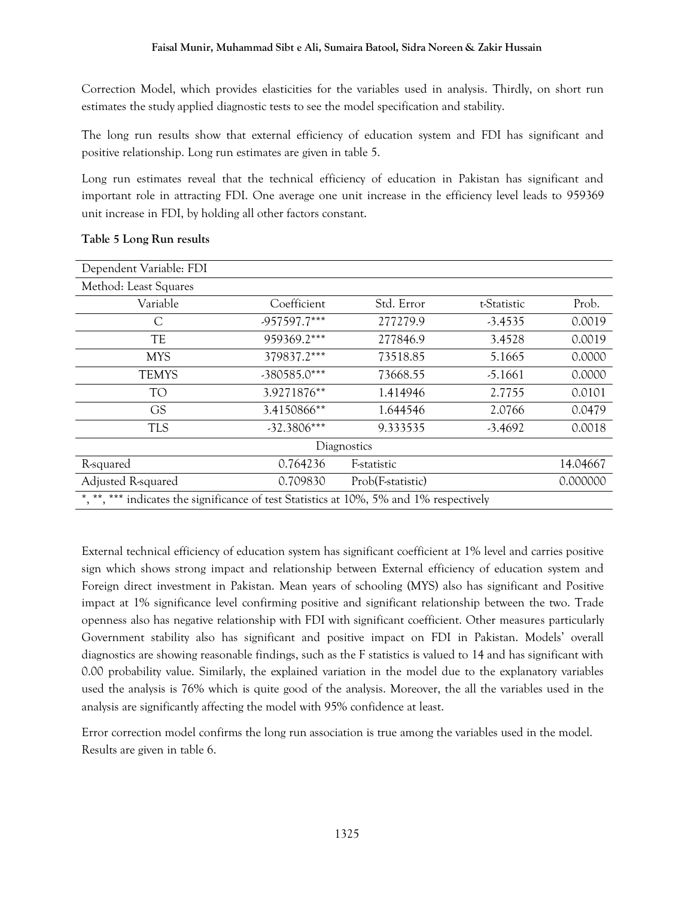Correction Model, which provides elasticities for the variables used in analysis. Thirdly, on short run estimates the study applied diagnostic tests to see the model specification and stability.

The long run results show that external efficiency of education system and FDI has significant and positive relationship. Long run estimates are given in table 5.

Long run estimates reveal that the technical efficiency of education in Pakistan has significant and important role in attracting FDI. One average one unit increase in the efficiency level leads to 959369 unit increase in FDI, by holding all other factors constant.

| Dependent Variable: FDI                                                                 |               |                   |             |          |  |  |
|-----------------------------------------------------------------------------------------|---------------|-------------------|-------------|----------|--|--|
| Method: Least Squares                                                                   |               |                   |             |          |  |  |
| Variable                                                                                | Coefficient   | Std. Error        | t-Statistic | Prob.    |  |  |
|                                                                                         | -957597.7***  | 277279.9          | $-3.4535$   | 0.0019   |  |  |
| TE                                                                                      | 959369.2***   | 277846.9          | 3.4528      | 0.0019   |  |  |
| <b>MYS</b>                                                                              | 379837.2***   | 73518.85          | 5.1665      | 0.0000   |  |  |
| <b>TEMYS</b>                                                                            | -380585.0***  | 73668.55          | $-5.1661$   | 0.0000   |  |  |
| <b>TO</b>                                                                               | 3.9271876**   | 1.414946          | 2.7755      | 0.0101   |  |  |
| <b>GS</b>                                                                               | 3.4150866**   | 1.644546          | 2.0766      | 0.0479   |  |  |
| <b>TLS</b>                                                                              | $-32.3806***$ | 9.333535          | $-3.4692$   | 0.0018   |  |  |
| Diagnostics                                                                             |               |                   |             |          |  |  |
| R-squared                                                                               | 0.764236      | F-statistic       |             | 14.04667 |  |  |
| Adjusted R-squared                                                                      | 0.709830      | Prob(F-statistic) |             | 0.000000 |  |  |
| *, **, *** indicates the significance of test Statistics at 10%, 5% and 1% respectively |               |                   |             |          |  |  |

## **Table 5 Long Run results**

External technical efficiency of education system has significant coefficient at 1% level and carries positive sign which shows strong impact and relationship between External efficiency of education system and Foreign direct investment in Pakistan. Mean years of schooling (MYS) also has significant and Positive impact at 1% significance level confirming positive and significant relationship between the two. Trade openness also has negative relationship with FDI with significant coefficient. Other measures particularly Government stability also has significant and positive impact on FDI in Pakistan. Models' overall diagnostics are showing reasonable findings, such as the F statistics is valued to 14 and has significant with 0.00 probability value. Similarly, the explained variation in the model due to the explanatory variables used the analysis is 76% which is quite good of the analysis. Moreover, the all the variables used in the analysis are significantly affecting the model with 95% confidence at least.

Error correction model confirms the long run association is true among the variables used in the model. Results are given in table 6.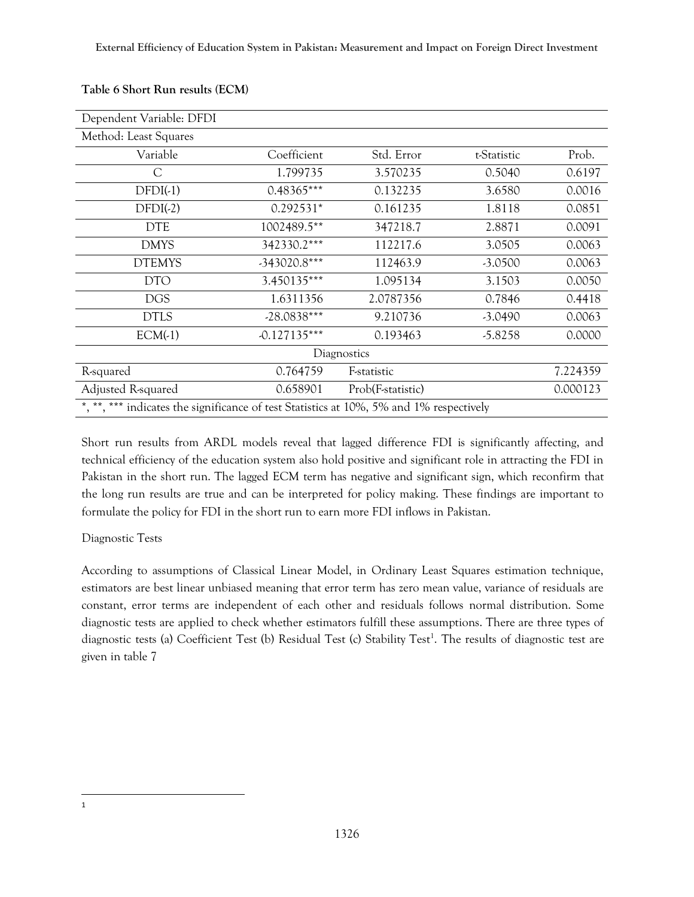| Dependent Variable: DFDI                                                                |                |                     |             |          |  |  |
|-----------------------------------------------------------------------------------------|----------------|---------------------|-------------|----------|--|--|
| Method: Least Squares                                                                   |                |                     |             |          |  |  |
| Variable                                                                                | Coefficient    | Std. Error          | t-Statistic | Prob.    |  |  |
| С                                                                                       | 1.799735       | 3.570235            | 0.5040      | 0.6197   |  |  |
| $DFDI(-1)$                                                                              | $0.48365***$   | 0.132235            | 3.6580      | 0.0016   |  |  |
| $DFDI(-2)$                                                                              | $0.292531*$    | 0.161235            | 1.8118      | 0.0851   |  |  |
| <b>DTE</b>                                                                              | 1002489.5**    | 347218.7            | 2.8871      | 0.0091   |  |  |
| <b>DMYS</b>                                                                             | 342330.2***    | 112217.6            | 3.0505      | 0.0063   |  |  |
| <b>DTEMYS</b>                                                                           | -343020.8***   | 112463.9            | $-3.0500$   | 0.0063   |  |  |
| <b>DTO</b>                                                                              | 3.450135***    | 1.095134            | 3.1503      | 0.0050   |  |  |
| <b>DGS</b>                                                                              | 1.6311356      | 2.0787356           | 0.7846      | 0.4418   |  |  |
| <b>DTLS</b>                                                                             | $-28.0838***$  | 9.210736            | $-3.0490$   | 0.0063   |  |  |
| $ECM(-1)$                                                                               | $-0.127135***$ | 0.193463            | $-5.8258$   | 0.0000   |  |  |
| Diagnostics                                                                             |                |                     |             |          |  |  |
| R-squared                                                                               | 0.764759       | <b>F</b> -statistic |             | 7.224359 |  |  |
| Adjusted R-squared                                                                      | 0.658901       | Prob(F-statistic)   |             | 0.000123 |  |  |
| *, **, *** indicates the significance of test Statistics at 10%, 5% and 1% respectively |                |                     |             |          |  |  |

## **Table 6 Short Run results (ECM)**

Short run results from ARDL models reveal that lagged difference FDI is significantly affecting, and technical efficiency of the education system also hold positive and significant role in attracting the FDI in Pakistan in the short run. The lagged ECM term has negative and significant sign, which reconfirm that the long run results are true and can be interpreted for policy making. These findings are important to formulate the policy for FDI in the short run to earn more FDI inflows in Pakistan.

## Diagnostic Tests

According to assumptions of Classical Linear Model, in Ordinary Least Squares estimation technique, estimators are best linear unbiased meaning that error term has zero mean value, variance of residuals are constant, error terms are independent of each other and residuals follows normal distribution. Some diagnostic tests are applied to check whether estimators fulfill these assumptions. There are three types of diagnostic tests (a) Coefficient Test (b) Residual Test (c) Stability Test<sup>1</sup>. The results of diagnostic test are given in table 7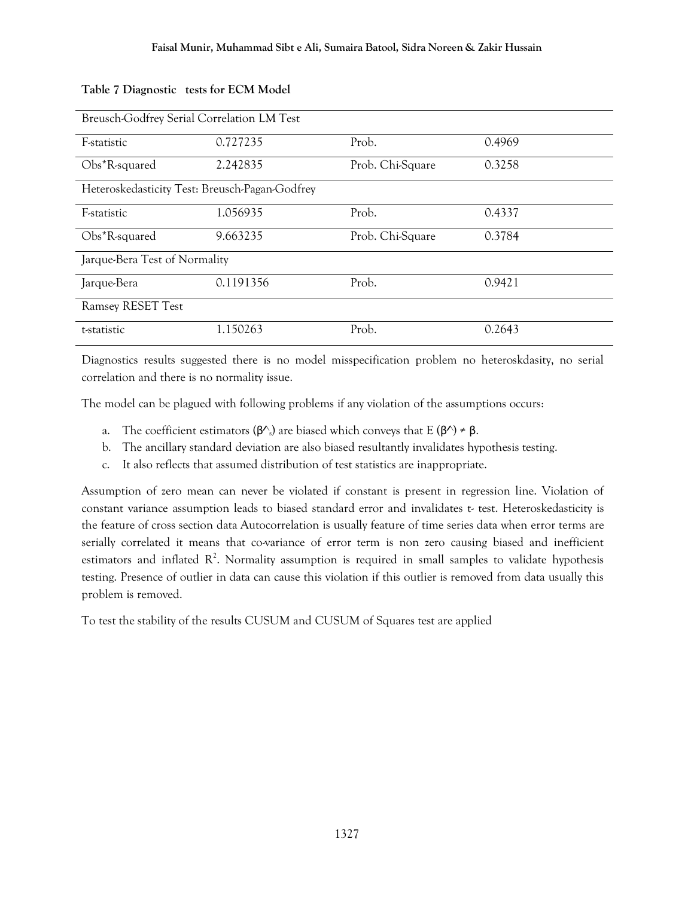| Breusch-Godfrey Serial Correlation LM Test     |           |                  |        |  |  |  |
|------------------------------------------------|-----------|------------------|--------|--|--|--|
| <b>E</b> -statistic                            | 0.727235  | Prob.            | 0.4969 |  |  |  |
| Obs*R-squared                                  | 2.242835  | Prob. Chi-Square | 0.3258 |  |  |  |
| Heteroskedasticity Test: Breusch-Pagan-Godfrey |           |                  |        |  |  |  |
| F-statistic                                    | 1.056935  | Prob.            | 0.4337 |  |  |  |
| Obs*R-squared                                  | 9.663235  | Prob. Chi-Square | 0.3784 |  |  |  |
| Jarque-Bera Test of Normality                  |           |                  |        |  |  |  |
| Jarque-Bera                                    | 0.1191356 | Prob.            | 0.9421 |  |  |  |
| <b>Ramsey RESET Test</b>                       |           |                  |        |  |  |  |
| t-statistic                                    | 1.150263  | Prob.            | 0.2643 |  |  |  |

### **Table 7 Diagnostic "tests for ECM Model**

Diagnostics results suggested there is no model misspecification problem no heteroskdasity, no serial correlation and there is no normality issue.

The model can be plagued with following problems if any violation of the assumptions occurs:

- a. The coefficient estimators ( $\beta^{\wedge}$ ) are biased which conveys that E ( $\beta^{\wedge}$ )  $\neq \beta$ .
- b. The ancillary standard deviation are also biased resultantly invalidates hypothesis testing.
- c. It also reflects that assumed distribution of test statistics are inappropriate.

Assumption of zero mean can never be violated if constant is present in regression line. Violation of constant variance assumption leads to biased standard error and invalidates t- test. Heteroskedasticity is the feature of cross section data Autocorrelation is usually feature of time series data when error terms are serially correlated it means that co-variance of error term is non zero causing biased and inefficient estimators and inflated  $\mathbb{R}^2$ . Normality assumption is required in small samples to validate hypothesis testing. Presence of outlier in data can cause this violation if this outlier is removed from data usually this problem is removed.

To test the stability of the results CUSUM and CUSUM of Squares test are applied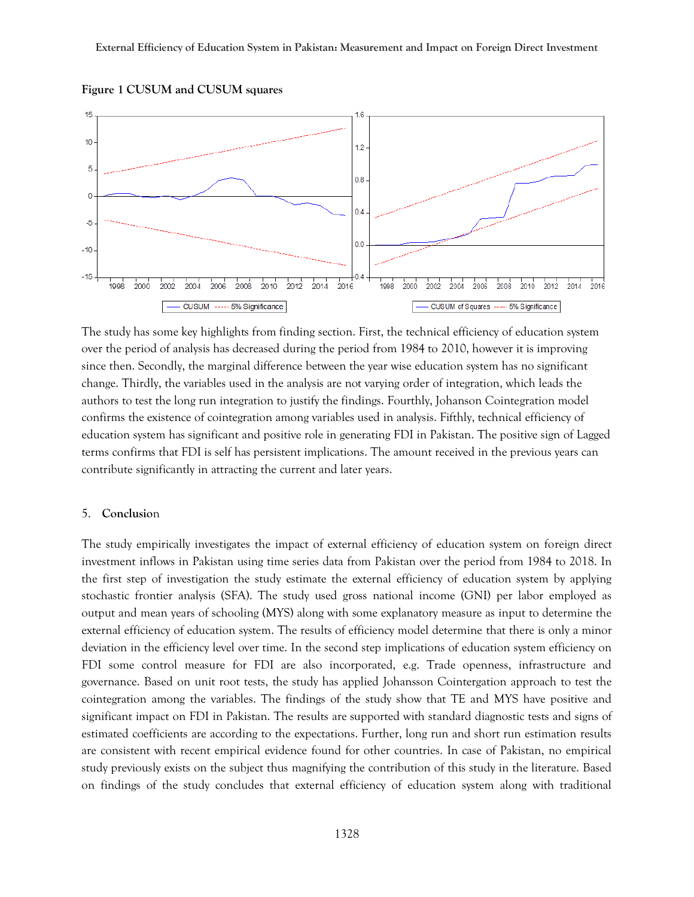

**Figure 1 CUSUM and CUSUM squares**

The study has some key highlights from finding section. First, the technical efficiency of education system over the period of analysis has decreased during the period from 1984 to 2010, however it is improving since then. Secondly, the marginal difference between the year wise education system has no significant change. Thirdly, the variables used in the analysis are not varying order of integration, which leads the authors to test the long run integration to justify the findings. Fourthly, Johanson Cointegration model confirms the existence of cointegration among variables used in analysis. Fifthly, technical efficiency of education system has significant and positive role in generating FDI in Pakistan. The positive sign of Lagged terms confirms that FDI is self has persistent implications. The amount received in the previous years can contribute significantly in attracting the current and later years.

#### 5. **Conclusio**n

The study empirically investigates the impact of external efficiency of education system on foreign direct investment inflows in Pakistan using time series data from Pakistan over the period from 1984 to 2018. In the first step of investigation the study estimate the external efficiency of education system by applying stochastic frontier analysis (SFA). The study used gross national income (GNI) per labor employed as output and mean years of schooling (MYS) along with some explanatory measure as input to determine the external efficiency of education system. The results of efficiency model determine that there is only a minor deviation in the efficiency level over time. In the second step implications of education system efficiency on FDI some control measure for FDI are also incorporated, e.g. Trade openness, infrastructure and governance. Based on unit root tests, the study has applied Johansson Cointergation approach to test the cointegration among the variables. The findings of the study show that TE and MYS have positive and significant impact on FDI in Pakistan. The results are supported with standard diagnostic tests and signs of estimated coefficients are according to the expectations. Further, long run and short run estimation results are consistent with recent empirical evidence found for other countries. In case of Pakistan, no empirical study previously exists on the subject thus magnifying the contribution of this study in the literature. Based on findings of the study concludes that external efficiency of education system along with traditional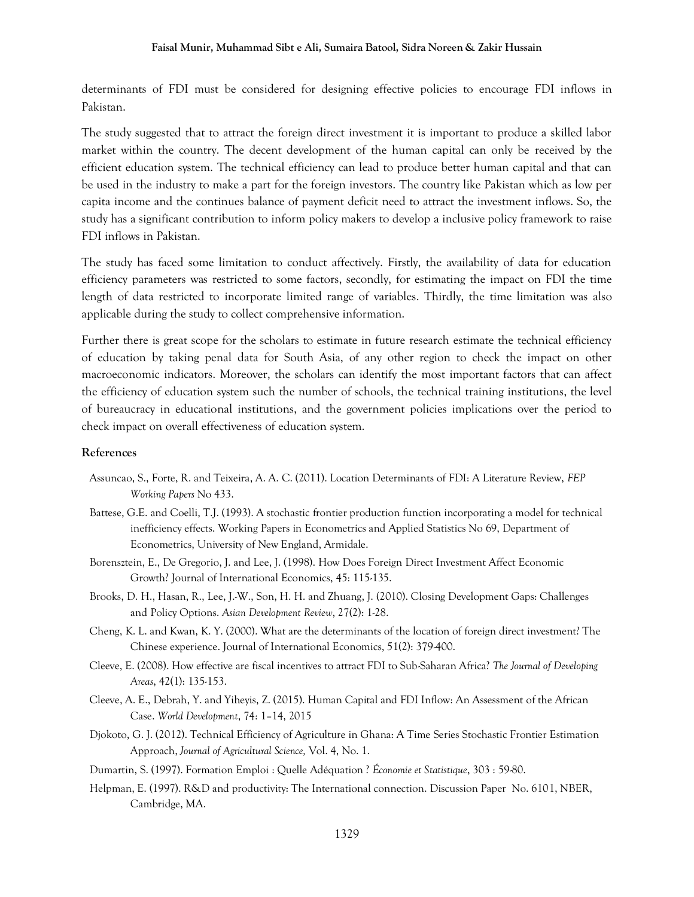determinants of FDI must be considered for designing effective policies to encourage FDI inflows in Pakistan.

The study suggested that to attract the foreign direct investment it is important to produce a skilled labor market within the country. The decent development of the human capital can only be received by the efficient education system. The technical efficiency can lead to produce better human capital and that can be used in the industry to make a part for the foreign investors. The country like Pakistan which as low per capita income and the continues balance of payment deficit need to attract the investment inflows. So, the study has a significant contribution to inform policy makers to develop a inclusive policy framework to raise FDI inflows in Pakistan.

The study has faced some limitation to conduct affectively. Firstly, the availability of data for education efficiency parameters was restricted to some factors, secondly, for estimating the impact on FDI the time length of data restricted to incorporate limited range of variables. Thirdly, the time limitation was also applicable during the study to collect comprehensive information.

Further there is great scope for the scholars to estimate in future research estimate the technical efficiency of education by taking penal data for South Asia, of any other region to check the impact on other macroeconomic indicators. Moreover, the scholars can identify the most important factors that can affect the efficiency of education system such the number of schools, the technical training institutions, the level of bureaucracy in educational institutions, and the government policies implications over the period to check impact on overall effectiveness of education system.

#### **References**

- Assuncao, S., Forte, R. and Teixeira, A. A. C. (2011). Location Determinants of FDI: A Literature Review, *FEP Working Papers* No 433.
- Battese, G.E. and Coelli, T.J. (1993). A stochastic frontier production function incorporating a model for technical inefficiency effects. Working Papers in Econometrics and Applied Statistics No 69, Department of Econometrics, University of New England, Armidale.
- Borensztein, E., De Gregorio, J. and Lee, J. (1998). How Does Foreign Direct Investment Affect Economic Growth? Journal of International Economics, 45: 115-135.
- Brooks, D. H., Hasan, R., Lee, J.-W., Son, H. H. and Zhuang, J. (2010). Closing Development Gaps: Challenges and Policy Options. *Asian Development Review*, 27(2): 1-28.
- Cheng, K. L. and Kwan, K. Y. (2000). What are the determinants of the location of foreign direct investment? The Chinese experience. Journal of International Economics, 51(2): 379-400.
- Cleeve, E. (2008). How effective are fiscal incentives to attract FDI to Sub-Saharan Africa? *The Journal of Developing Areas*, 42(1): 135-153.
- Cleeve, A. E., Debrah, Y. and Yiheyis, Z. (2015). Human Capital and FDI Inflow: An Assessment of the African Case. *World Development*, 74: 1–14, 2015
- Djokoto, G. J. (2012). Technical Efficiency of Agriculture in Ghana: A Time Series Stochastic Frontier Estimation Approach, *Journal of Agricultural Science,* Vol. 4, No. 1.
- Dumartin, S. (1997). Formation Emploi : Quelle Adéquation ? *Économie et Statistique*, 303 : 59-80.
- Helpman, E. (1997). R&D and productivity: The International connection. Discussion Paper No. 6101, NBER, Cambridge, MA.